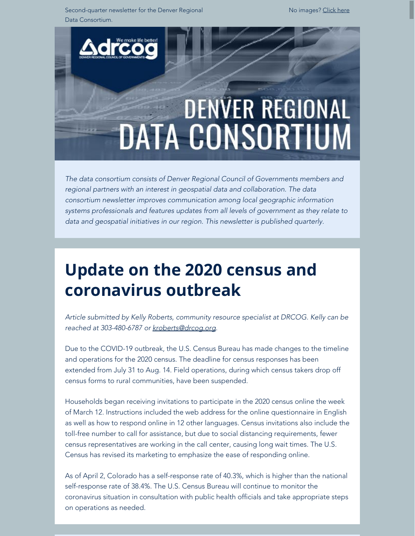Second-quarter newsletter for the Denver Regional Data Consortium.

No images? [Click here](https://drcog.createsend1.com/t/d-e-mthjtjk-l-s/)



*The data consortium consists of Denver Regional Council of Governments members and regional partners with an interest in geospatial data and collaboration. The data consortium newsletter improves communication among local geographic information systems professionals and features updates from all levels of government as they relate to data and geospatial initiatives in our region. This newsletter is published quarterly.*

# **Update on the 2020 census and coronavirus outbreak**

*Article submitted by Kelly Roberts, community resource specialist at DRCOG. Kelly can be reached at 303-480-6787 or [kroberts@drcog.org](mailto:kroberts@drcog.org).*

Due to the COVID-19 outbreak, the U.S. Census Bureau has made changes to the timeline and operations for the 2020 census. The deadline for census responses has been extended from July 31 to Aug. 14. Field operations, during which census takers drop off census forms to rural communities, have been suspended.

Households began receiving invitations to participate in the 2020 census online the week of March 12. Instructions included the web address for the online questionnaire in English as well as how to respond online in 12 other languages. Census invitations also include the toll-free number to call for assistance, but due to social distancing requirements, fewer census representatives are working in the call center, causing long wait times. The U.S. Census has revised its marketing to emphasize the ease of responding online.

As of April 2, Colorado has a self-response rate of 40.3%, which is higher than the national self-response rate of 38.4%. The U.S. Census Bureau will continue to monitor the coronavirus situation in consultation with public health officials and take appropriate steps on operations as needed.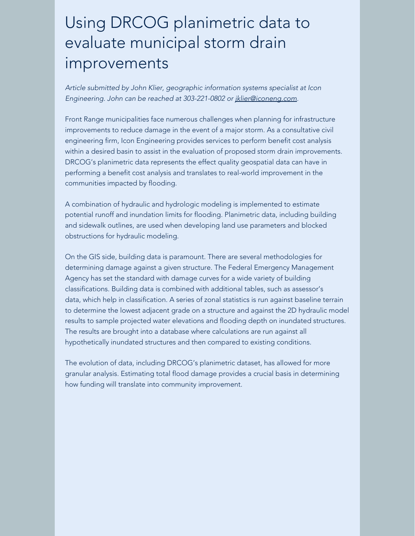### Using DRCOG planimetric data to evaluate municipal storm drain improvements

*Article submitted by John Klier, geographic information systems specialist at Icon Engineering. John can be reached at 303-221-0802 or [jklier@iconeng.com](mailto:jklier@iconeng.com).*

Front Range municipalities face numerous challenges when planning for infrastructure improvements to reduce damage in the event of a major storm. As a consultative civil engineering firm, Icon Engineering provides services to perform benefit cost analysis within a desired basin to assist in the evaluation of proposed storm drain improvements. DRCOG's planimetric data represents the effect quality geospatial data can have in performing a benefit cost analysis and translates to real-world improvement in the communities impacted by flooding.

A combination of hydraulic and hydrologic modeling is implemented to estimate potential runoff and inundation limits for flooding. Planimetric data, including building and sidewalk outlines, are used when developing land use parameters and blocked obstructions for hydraulic modeling.

On the GIS side, building data is paramount. There are several methodologies for determining damage against a given structure. The Federal Emergency Management Agency has set the standard with damage curves for a wide variety of building classifications. Building data is combined with additional tables, such as assessor's data, which help in classification. A series of zonal statistics is run against baseline terrain to determine the lowest adjacent grade on a structure and against the 2D hydraulic model results to sample projected water elevations and flooding depth on inundated structures. The results are brought into a database where calculations are run against all hypothetically inundated structures and then compared to existing conditions.

The evolution of data, including DRCOG's planimetric dataset, has allowed for more granular analysis. Estimating total flood damage provides a crucial basis in determining how funding will translate into community improvement.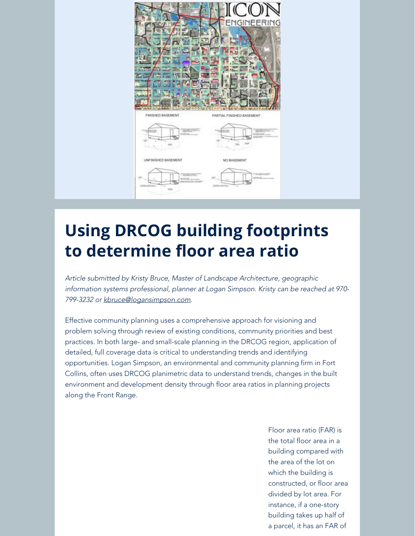

# **Using DRCOG building footprints to determine floor area ratio**

*Article submitted by Kristy Bruce, Master of Landscape Architecture, geographic information systems professional, planner at Logan Simpson. Kristy can be reached at 970- 799-3232 or [kbruce@logansimpson.com](mailto:kbruce@logansimpson.com).*

Effective community planning uses a comprehensive approach for visioning and problem solving through review of existing conditions, community priorities and best practices. In both large- and small-scale planning in the DRCOG region, application of detailed, full coverage data is critical to understanding trends and identifying opportunities. Logan Simpson, an environmental and community planning firm in Fort Collins, often uses DRCOG planimetric data to understand trends, changes in the built environment and development density through floor area ratios in planning projects along the Front Range.

> Floor area ratio (FAR) is the total floor area in a building compared with the area of the lot on which the building is constructed, or floor area divided by lot area. For instance, if a one-story building takes up half of a parcel, it has an FAR of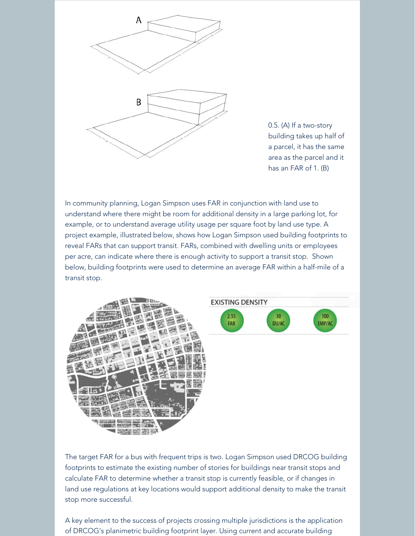

0.5. (A) If a two-story building takes up half of a parcel, it has the same area as the parcel and it has an FAR of 1. (B)

In community planning, Logan Simpson uses FAR in conjunction with land use to understand where there might be room for additional density in a large parking lot, for example, or to understand average utility usage per square foot by land use type. A project example, illustrated below, shows how Logan Simpson used building footprints to reveal FARs that can support transit. FARs, combined with dwelling units or employees per acre, can indicate where there is enough activity to support a transit stop. Shown below, building footprints were used to determine an average FAR within a half-mile of a transit stop.



The target FAR for a bus with frequent trips is two. Logan Simpson used DRCOG building footprints to estimate the existing number of stories for buildings near transit stops and calculate FAR to determine whether a transit stop is currently feasible, or if changes in land use regulations at key locations would support additional density to make the transit stop more successful.

A key element to the success of projects crossing multiple jurisdictions is the application of DRCOG's planimetric building footprint layer. Using current and accurate building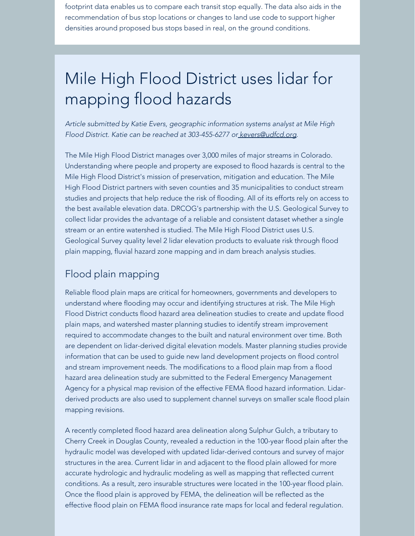footprint data enables us to compare each transit stop equally. The data also aids in the recommendation of bus stop locations or changes to land use code to support higher densities around proposed bus stops based in real, on the ground conditions.

# Mile High Flood District uses lidar for mapping flood hazards

*Article submitted by Katie Evers, geographic information systems analyst at Mile High Flood District. Katie can be reached at 303-455-6277 o[r kevers@udfcd.org](mailto:kevers@udfcd.org).*

The Mile High Flood District manages over 3,000 miles of major streams in Colorado. Understanding where people and property are exposed to flood hazards is central to the Mile High Flood District's mission of preservation, mitigation and education. The Mile High Flood District partners with seven counties and 35 municipalities to conduct stream studies and projects that help reduce the risk of flooding. All of its efforts rely on access to the best available elevation data. DRCOG's partnership with the U.S. Geological Survey to collect lidar provides the advantage of a reliable and consistent dataset whether a single stream or an entire watershed is studied. The Mile High Flood District uses U.S. Geological Survey quality level 2 lidar elevation products to evaluate risk through flood plain mapping, fluvial hazard zone mapping and in dam breach analysis studies.

#### Flood plain mapping

Reliable flood plain maps are critical for homeowners, governments and developers to understand where flooding may occur and identifying structures at risk. The Mile High Flood District conducts flood hazard area delineation studies to create and update flood plain maps, and watershed master planning studies to identify stream improvement required to accommodate changes to the built and natural environment over time. Both are dependent on lidar-derived digital elevation models. Master planning studies provide information that can be used to guide new land development projects on flood control and stream improvement needs. The modifications to a flood plain map from a flood hazard area delineation study are submitted to the Federal Emergency Management Agency for a physical map revision of the effective FEMA flood hazard information. Lidarderived products are also used to supplement channel surveys on smaller scale flood plain mapping revisions.

A recently completed flood hazard area delineation along Sulphur Gulch, a tributary to Cherry Creek in Douglas County, revealed a reduction in the 100-year flood plain after the hydraulic model was developed with updated lidar-derived contours and survey of major structures in the area. Current lidar in and adjacent to the flood plain allowed for more accurate hydrologic and hydraulic modeling as well as mapping that reflected current conditions. As a result, zero insurable structures were located in the 100-year flood plain. Once the flood plain is approved by FEMA, the delineation will be reflected as the effective flood plain on FEMA flood insurance rate maps for local and federal regulation.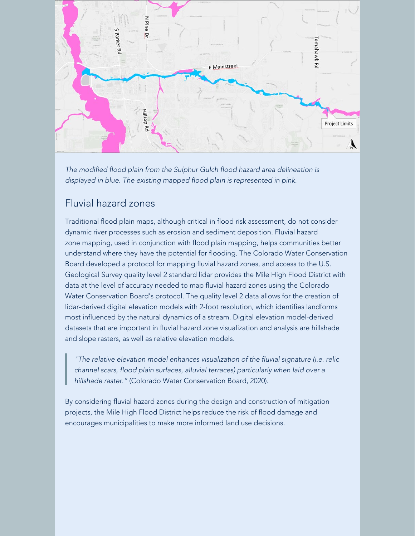

*The modified flood plain from the Sulphur Gulch flood hazard area delineation is displayed in blue. The existing mapped flood plain is represented in pink.*

#### Fluvial hazard zones

Traditional flood plain maps, although critical in flood risk assessment, do not consider dynamic river processes such as erosion and sediment deposition. Fluvial hazard zone mapping, used in conjunction with flood plain mapping, helps communities better understand where they have the potential for flooding. The Colorado Water Conservation Board developed a protocol for mapping fluvial hazard zones, and access to the U.S. Geological Survey quality level 2 standard lidar provides the Mile High Flood District with data at the level of accuracy needed to map fluvial hazard zones using the Colorado Water Conservation Board's protocol. The quality level 2 data allows for the creation of lidar-derived digital elevation models with 2-foot resolution, which identifies landforms most influenced by the natural dynamics of a stream. Digital elevation model-derived datasets that are important in fluvial hazard zone visualization and analysis are hillshade and slope rasters, as well as relative elevation models.

*"The relative elevation model enhances visualization of the fluvial signature (i.e. relic channel scars, flood plain surfaces, alluvial terraces) particularly when laid over a hillshade raster."* (Colorado Water Conservation Board, 2020).

By considering fluvial hazard zones during the design and construction of mitigation projects, the Mile High Flood District helps reduce the risk of flood damage and encourages municipalities to make more informed land use decisions.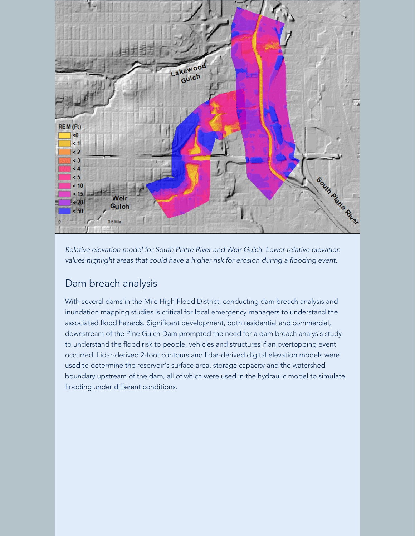

*Relative elevation model for South Platte River and Weir Gulch. Lower relative elevation values highlight areas that could have a higher risk for erosion during a flooding event.*

#### Dam breach analysis

With several dams in the Mile High Flood District, conducting dam breach analysis and inundation mapping studies is critical for local emergency managers to understand the associated flood hazards. Significant development, both residential and commercial, downstream of the Pine Gulch Dam prompted the need for a dam breach analysis study to understand the flood risk to people, vehicles and structures if an overtopping event occurred. Lidar-derived 2-foot contours and lidar-derived digital elevation models were used to determine the reservoir's surface area, storage capacity and the watershed boundary upstream of the dam, all of which were used in the hydraulic model to simulate flooding under different conditions.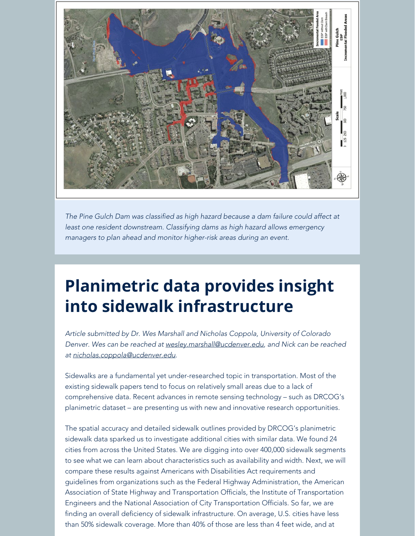

*The Pine Gulch Dam was classified as high hazard because a dam failure could affect at least one resident downstream. Classifying dams as high hazard allows emergency managers to plan ahead and monitor higher-risk areas during an event.*

# **Planimetric data provides insight into sidewalk infrastructure**

*Article submitted by Dr. Wes Marshall and Nicholas Coppola, University of Colorado Denver. Wes can be reached at [wesley.marshall@ucdenver.edu](mailto:wesley.marshall@ucdenver.edu), and Nick can be reached at [nicholas.coppola@ucdenver.edu](mailto:nicholas.coppola@ucdenver.edu).*

Sidewalks are a fundamental yet under-researched topic in transportation. Most of the existing sidewalk papers tend to focus on relatively small areas due to a lack of comprehensive data. Recent advances in remote sensing technology – such as DRCOG's planimetric dataset – are presenting us with new and innovative research opportunities.

The spatial accuracy and detailed sidewalk outlines provided by DRCOG's planimetric sidewalk data sparked us to investigate additional cities with similar data. We found 24 cities from across the United States. We are digging into over 400,000 sidewalk segments to see what we can learn about characteristics such as availability and width. Next, we will compare these results against Americans with Disabilities Act requirements and guidelines from organizations such as the Federal Highway Administration, the American Association of State Highway and Transportation Officials, the Institute of Transportation Engineers and the National Association of City Transportation Officials. So far, we are finding an overall deficiency of sidewalk infrastructure. On average, U.S. cities have less than 50% sidewalk coverage. More than 40% of those are less than 4 feet wide, and at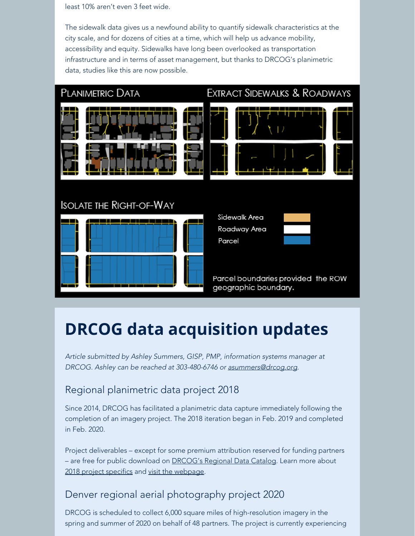least 10% aren't even 3 feet wide.

The sidewalk data gives us a newfound ability to quantify sidewalk characteristics at the city scale, and for dozens of cities at a time, which will help us advance mobility, accessibility and equity. Sidewalks have long been overlooked as transportation infrastructure and in terms of asset management, but thanks to DRCOG's planimetric data, studies like this are now possible.



### **DRCOG data acquisition updates**

*Article submitted by Ashley Summers, GISP, PMP, information systems manager at DRCOG. Ashley can be reached at 303-480-6746 or [asummers@drcog.org](mailto:asummers@drcog.org).*

#### Regional planimetric data project 2018

Since 2014, DRCOG has facilitated a planimetric data capture immediately following the completion of an imagery project. The 2018 iteration began in Feb. 2019 and completed in Feb. 2020.

Project deliverables – except for some premium attribution reserved for funding partners – are free for public download on **DRCOG's Regional Data Catalog**. Learn more about [2018 project specifics](https://drcog.createsend1.com/t/d-l-mthjtjk-l-j/) and [visit the webpage](https://drcog.createsend1.com/t/d-l-mthjtjk-l-t/).

#### Denver regional aerial photography project 2020

DRCOG is scheduled to collect 6,000 square miles of high-resolution imagery in the spring and summer of 2020 on behalf of 48 partners. The project is currently experiencing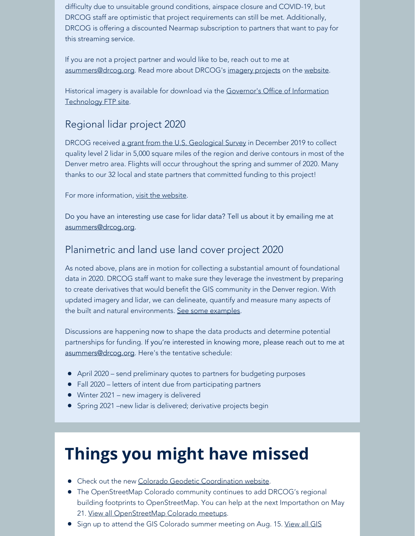difficulty due to unsuitable ground conditions, airspace closure and COVID-19, but DRCOG staff are optimistic that project requirements can still be met. Additionally, DRCOG is offering a discounted Nearmap subscription to partners that want to pay for this streaming service.

If you are not a project partner and would like to be, reach out to me at [asummers@drcog.org](mailto:asummers@drcog.org). Read more about DRCOG's [imagery projects](https://drcog.createsend1.com/t/d-l-mthjtjk-l-i/) on the [website](https://drcog.createsend1.com/t/d-l-mthjtjk-l-d/).

Historical imagery is available for download via the [Governor's Office of Information](https://drcog.createsend1.com/t/d-l-mthjtjk-l-h/) [Technology FTP site.](https://drcog.createsend1.com/t/d-l-mthjtjk-l-h/)

#### Regional lidar project 2020

DRCOG received [a grant from the U.S. Geological Survey](https://drcog.createsend1.com/t/d-l-mthjtjk-l-k/) in December 2019 to collect quality level 2 lidar in 5,000 square miles of the region and derive contours in most of the Denver metro area. Flights will occur throughout the spring and summer of 2020. Many thanks to our 32 local and state partners that committed funding to this project!

For more information, [visit the website](https://drcog.createsend1.com/t/d-l-mthjtjk-l-u/).

Do you have an interesting use case for lidar data? Tell us about it by emailing me at [asummers@drcog.org](mailto:asummers@drcog.org).

#### Planimetric and land use land cover project 2020

As noted above, plans are in motion for collecting a substantial amount of foundational data in 2020. DRCOG staff want to make sure they leverage the investment by preparing to create derivatives that would benefit the GIS community in the Denver region. With updated imagery and lidar, we can delineate, quantify and measure many aspects of the built and natural environments. [See some examples](https://drcog.createsend1.com/t/d-l-mthjtjk-l-o/).

Discussions are happening now to shape the data products and determine potential partnerships for funding. If you're interested in knowing more, please reach out to me at [asummers@drcog.org](mailto:asummers@drcog.org). Here's the tentative schedule:

- April 2020 send preliminary quotes to partners for budgeting purposes
- Fall 2020 letters of intent due from participating partners
- Winter 2021 new imagery is delivered
- **Spring 2021 –new lidar is delivered; derivative projects begin**

# **Things you might have missed**

- Check out the new [Colorado Geodetic Coordination website](https://drcog.createsend1.com/t/d-l-mthjtjk-l-b/).
- The OpenStreetMap Colorado community continues to add DRCOG's regional building footprints to OpenStreetMap. You can help at the next Importathon on May 21. [View all OpenStreetMap Colorado meetups](https://drcog.createsend1.com/t/d-l-mthjtjk-l-n/).
- Sign up to attend the GIS Colorado summer meeting on Aug. 15. [View all GIS](https://drcog.createsend1.com/t/d-l-mthjtjk-l-m/)